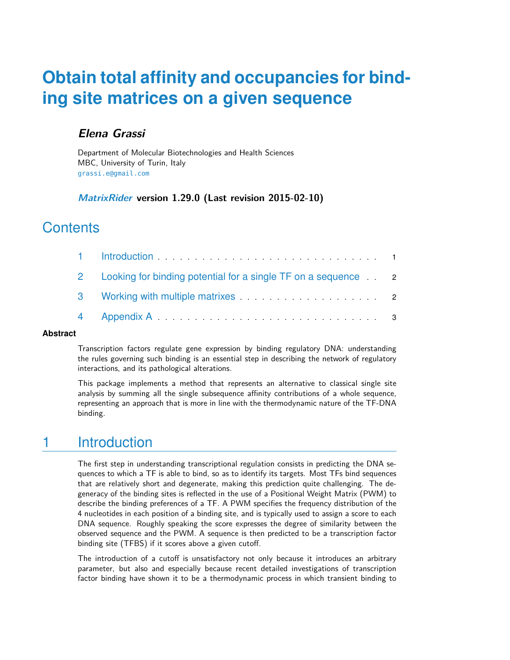# **Obtain total affinity and occupancies for binding site matrices on a given sequence**

#### **Elena Grassi**

Department of Molecular Biotechnologies and Health Sciences MBC, University of Turin, Italy [grassi.e@gmail.com](mailto:grassi.e@gmail.com)

#### **[MatrixRider](http://bioconductor.org/packages/MatrixRider) version 1.29.0 (Last revision 2015-02-10)**

### **Contents**

| 2 Looking for binding potential for a single TF on a sequence 2 |  |
|-----------------------------------------------------------------|--|
|                                                                 |  |
|                                                                 |  |

#### **Abstract**

Transcription factors regulate gene expression by binding regulatory DNA: understanding the rules governing such binding is an essential step in describing the network of regulatory interactions, and its pathological alterations.

<span id="page-0-0"></span>This package implements a method that represents an alternative to classical single site analysis by summing all the single subsequence affinity contributions of a whole sequence, representing an approach that is more in line with the thermodynamic nature of the TF-DNA binding.

## 1 Introduction

The first step in understanding transcriptional regulation consists in predicting the DNA sequences to which a TF is able to bind, so as to identify its targets. Most TFs bind sequences that are relatively short and degenerate, making this prediction quite challenging. The degeneracy of the binding sites is reflected in the use of a Positional Weight Matrix (PWM) to describe the binding preferences of a TF. A PWM specifies the frequency distribution of the 4 nucleotides in each position of a binding site, and is typically used to assign a score to each DNA sequence. Roughly speaking the score expresses the degree of similarity between the observed sequence and the PWM. A sequence is then predicted to be a transcription factor binding site (TFBS) if it scores above a given cutoff.

The introduction of a cutoff is unsatisfactory not only because it introduces an arbitrary parameter, but also and especially because recent detailed investigations of transcription factor binding have shown it to be a thermodynamic process in which transient binding to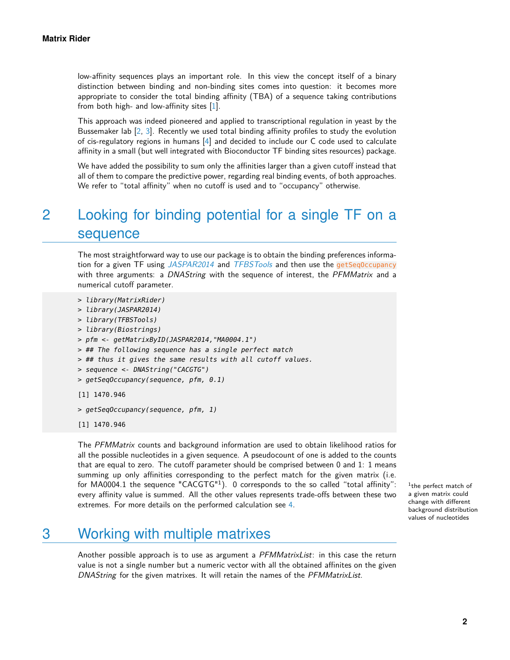low-affinity sequences plays an important role. In this view the concept itself of a binary distinction between binding and non-binding sites comes into question: it becomes more appropriate to consider the total binding affinity (TBA) of a sequence taking contributions from both high- and low-affinity sites [\[1\]](#page-3-0).

This approach was indeed pioneered and applied to transcriptional regulation in yeast by the Bussemaker lab [\[2,](#page-3-1) [3\]](#page-3-2). Recently we used total binding affinity profiles to study the evolution of cis-regulatory regions in humans [\[4\]](#page-3-3) and decided to include our C code used to calculate affinity in a small (but well integrated with Bioconductor TF binding sites resources) package.

<span id="page-1-0"></span>We have added the possibility to sum only the affinities larger than a given cutoff instead that all of them to compare the predictive power, regarding real binding events, of both approaches. We refer to "total affinity" when no cutoff is used and to "occupancy" otherwise.

# 2 Looking for binding potential for a single TF on a sequence

The most straightforward way to use our package is to obtain the binding preferences informa-tion for a given TF using [JASPAR2014](http://bioconductor.org/packages/JASPAR2014) and [TFBSTools](http://bioconductor.org/packages/TFBSTools) and then use the getSeq0ccupancy with three arguments: a DNAString with the sequence of interest, the PFMMatrix and a numerical cutoff parameter.

```
> library(MatrixRider)
```

```
> library(JASPAR2014)
```

```
> library(TFBSTools)
```

```
> library(Biostrings)
```

```
> pfm <- getMatrixByID(JASPAR2014,"MA0004.1")
```
- > ## The following sequence has a single perfect match
- > ## thus it gives the same results with all cutoff values.
- > sequence <- DNAString("CACGTG")
- > getSeqOccupancy(sequence, pfm, 0.1)

```
[1] 1470.946
```

```
> getSeqOccupancy(sequence, pfm, 1)
```

```
[1] 1470.946
```
The PFMMatrix counts and background information are used to obtain likelihood ratios for all the possible nucleotides in a given sequence. A pseudocount of one is added to the counts that are equal to zero. The cutoff parameter should be comprised between 0 and 1: 1 means summing up only affinities corresponding to the perfect match for the given matrix (i.e. for MA0004.1 the sequence "CACGTG"1). 0 corresponds to the so called "total affinity": every affinity value is summed. All the other values represents trade-offs between these two extremes. For more details on the performed calculation see [4.](#page-2-0)

<sup>1</sup>the perfect match of a given matrix could change with different background distribution values of nucleotides

# <span id="page-1-1"></span>3 Working with multiple matrixes

Another possible approach is to use as argument a *PFMMatrixList*: in this case the return value is not a single number but a numeric vector with all the obtained affinites on the given DNAString for the given matrixes. It will retain the names of the PFMMatrixList.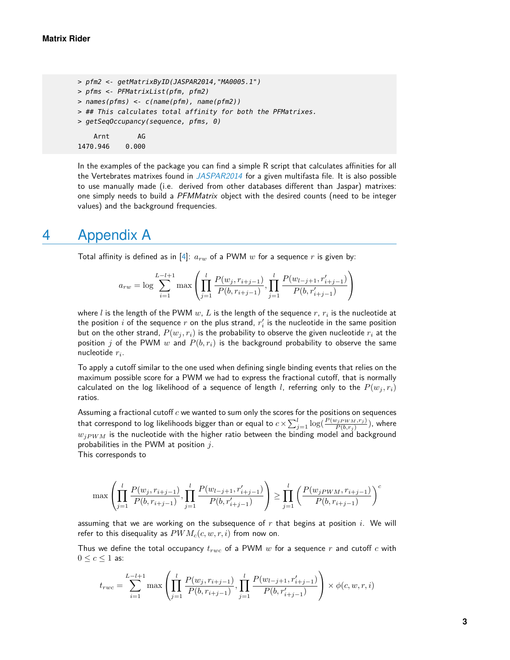```
> pfm2 <- getMatrixByID(JASPAR2014,"MA0005.1")
> pfms <- PFMatrixList(pfm, pfm2)
> names(pfms) <- c(name(pfm), name(pfm2))> ## This calculates total affinity for both the PFMatrixes.
> getSeqOccupancy(sequence, pfms, 0)
   Arnt AG
1470.946 0.000
```
In the examples of the package you can find a simple R script that calculates affinities for all the Vertebrates matrixes found in [JASPAR2014](http://bioconductor.org/packages/JASPAR2014) for a given multifasta file. It is also possible to use manually made (i.e. derived from other databases different than Jaspar) matrixes: one simply needs to build a PFMMatrix object with the desired counts (need to be integer values) and the background frequencies.

#### <span id="page-2-0"></span>4 Appendix A

Total affinity is defined as in [\[4\]](#page-3-3):  $a_{rw}$  of a PWM w for a sequence r is given by:

$$
a_{rw} = \log \sum_{i=1}^{L-l+1} \max \left( \prod_{j=1}^{l} \frac{P(w_j, r_{i+j-1})}{P(b, r_{i+j-1})}, \prod_{j=1}^{l} \frac{P(w_{l-j+1}, r'_{i+j-1})}{P(b, r'_{i+j-1})} \right)
$$

where  $l$  is the length of the PWM  $w$ ,  $L$  is the length of the sequence  $r,\,r_i$  is the nucleotide at the position  $i$  of the sequence  $r$  on the plus strand,  $r_i^\prime$  is the nucleotide in the same position but on the other strand,  $P(w_j, r_i)$  is the probability to observe the given nucleotide  $r_i$  at the position j of the PWM w and  $P(b, r_i)$  is the background probability to observe the same nucleotide  $r_i$ .

To apply a cutoff similar to the one used when defining single binding events that relies on the maximum possible score for a PWM we had to express the fractional cutoff, that is normally calculated on the log likelihood of a sequence of length l, referring only to the  $P(w_j, r_i)$ ratios.

Assuming a fractional cutoff  $c$  we wanted to sum only the scores for the positions on sequences that correspond to log likelihoods bigger than or equal to  $c\!\times\!\sum_{j=1}^l \log(\frac{P(w_{jPWM},r_j)}{P(b,r_j)})$ , where  $w_{jPWM}$  is the nucleotide with the higher ratio between the binding model and background probabilities in the PWM at position  $j$ .

This corresponds to

$$
\max\left(\prod_{j=1}^l \frac{P(w_j, r_{i+j-1})}{P(b, r_{i+j-1})}, \prod_{j=1}^l \frac{P(w_{l-j+1}, r'_{i+j-1})}{P(b, r'_{i+j-1})}\right) \ge \prod_{j=1}^l \left(\frac{P(w_j p_{WM}, r_{i+j-1})}{P(b, r_{i+j-1})}\right)^c
$$

assuming that we are working on the subsequence of  $r$  that begins at position  $i$ . We will refer to this disequality as  $PWM_c(c, w, r, i)$  from now on.

Thus we define the total occupancy  $t_{rwc}$  of a PWM  $w$  for a sequence  $r$  and cutoff  $c$  with  $0 \leq c \leq 1$  as:

$$
t_{rwc} = \sum_{i=1}^{L-l+1} \max\left(\prod_{j=1}^{l} \frac{P(w_j, r_{i+j-1})}{P(b, r_{i+j-1})}, \prod_{j=1}^{l} \frac{P(w_{l-j+1}, r'_{i+j-1})}{P(b, r'_{i+j-1})}\right) \times \phi(c, w, r, i)
$$